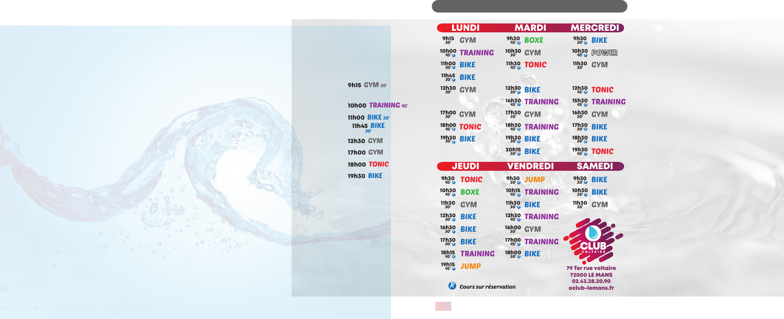|                                           | LUNDI           |                                         | MARDI           |                                           | <b>MERCREDI</b>            |
|-------------------------------------------|-----------------|-----------------------------------------|-----------------|-------------------------------------------|----------------------------|
| <b>9h15</b><br>30'                        | GYM             | <b>9h30</b><br>$45'$ $°$                | BOXE            | <b>9h30</b><br>30'                        | BIKE                       |
| <b>10h00</b><br>$45'$ $\odot$             | TRAINING        | <b>10h30</b><br>30'                     | GYM             | <b>10h30</b><br>45'                       | POWER                      |
| <b>11h00</b><br>30'                       | BIKE            | 11h30<br>$45'$ $@$                      | TONIC           | 11h30<br>30'                              | GYM                        |
| <b>11h45</b><br>$30'$ $o$                 | BIKE            |                                         |                 |                                           |                            |
| <b>12h30</b><br>30'                       | GYM             | <b>12h30</b><br>$30'$ $o$               | <b>BIKE</b>     | 12h30<br>$45^\circ$                       | <b>TONIC</b>               |
|                                           |                 | <b>16h30</b><br>45' ®                   | TRAINING        | <b>15h30</b><br>$45'$ $o$                 | TRAINING                   |
| <b>17h00</b><br>30'                       | GYM             | <b>17h30</b><br>30'                     | GYM             | <b>16h30</b><br>30'                       | GYM                        |
| 18h00<br>45'8                             | TONIC           | 18h30<br>45'8                           | TRAINING        | <b>17h30</b><br>30'                       | BIKE                       |
| <b>19h30</b><br>$30^\circ$                | BIKE            | <b>19h30</b><br>$30'$ $\ddot{\text{R}}$ | BIKE            | <b>18h30</b><br>$30^\circ$ $\ddot{\circ}$ | BIKE                       |
|                                           |                 | <b>20h15</b><br>$30'$ $R$               | BIKE            | <b>19h30</b><br>45'                       | TONIC                      |
|                                           | <b>JEUDI</b>    |                                         | VENDREDI        |                                           | <b>SAMEDI</b>              |
| <b>9h30</b><br>$45'$ $R$                  | TONIC           | <b>9h30</b><br>$30'$ $o$                | JUMP            | <b>9h30</b><br>$30'$ $R$                  | BIKE                       |
| <b>10h30</b><br>$45'$ $R$                 | BOXE            | <b>10h15</b><br>$45'$ $@$               | TRAINING        | 10h30<br>30'8                             | BIKE                       |
| 11h30<br>30'                              | <b>GYM</b>      | <b>11h30</b><br>$30'$ $\bar{6}$         | BIKE            | 11h30<br>30'                              | <b>GYM</b>                 |
| <b>12h30</b><br>$30'$ $R$                 | BIKE            | <b>12h30</b><br>$45'$ $o$               | TRAINING        |                                           |                            |
| 16h30<br>30'                              | <b>BIKE</b>     | 30'                                     | 16h00 GYM       |                                           | 2200                       |
| <b>17h30</b><br>$30^\circ$ $\ddot{\circ}$ | <b>BIKE</b>     | 17h00                                   | <b>TRAINING</b> |                                           |                            |
|                                           |                 |                                         |                 |                                           |                            |
| <b>18h15</b><br>$45'$ $\ddot{\circ}$      | <b>TRAINING</b> | 18h00<br>30'0                           | BIKE            |                                           | <b>OLTAIRE</b>             |
| <b>19h15</b><br>$45'$ $\odot$             | JUMP            |                                         |                 |                                           | <b>79 Ter rue voltaire</b> |

02.43.28.20.90 oclub-lemans.fr